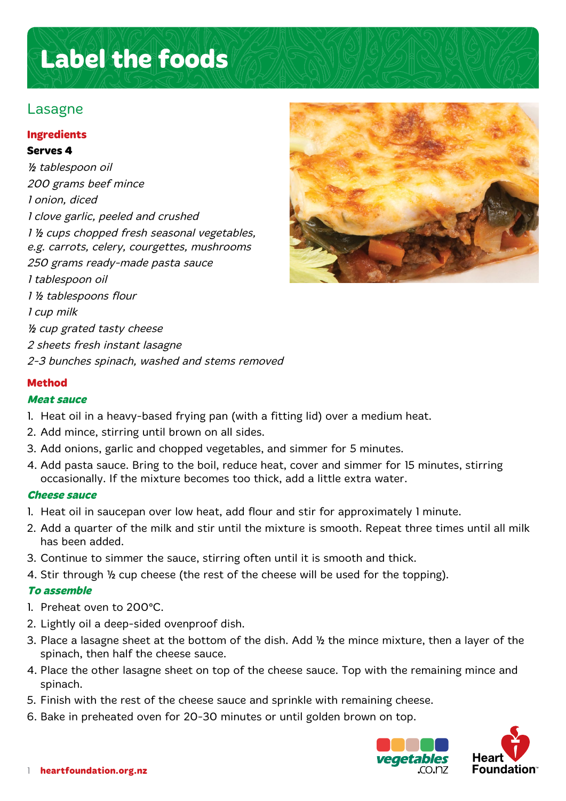# **Label the foods**

# Lasagne

# **Ingredients**

#### **Serves 4**

½ tablespoon oil 200 grams beef mince 1 onion, diced 1 clove garlic, peeled and crushed 1 ½ cups chopped fresh seasonal vegetables, e.g. carrots, celery, courgettes, mushrooms 250 grams ready-made pasta sauce 1 tablespoon oil 1 ½ tablespoons flour 1 cup milk ½ cup grated tasty cheese 2 sheets fresh instant lasagne 2-3 bunches spinach, washed and stems removed



# **Method**

#### **Meat sauce**

- 1. Heat oil in a heavy-based frying pan (with a fitting lid) over a medium heat.
- 2. Add mince, stirring until brown on all sides.
- 3. Add onions, garlic and chopped vegetables, and simmer for 5 minutes.
- 4. Add pasta sauce. Bring to the boil, reduce heat, cover and simmer for 15 minutes, stirring occasionally. If the mixture becomes too thick, add a little extra water.

## **Cheese sauce**

- 1. Heat oil in saucepan over low heat, add flour and stir for approximately 1 minute.
- 2. Add a quarter of the milk and stir until the mixture is smooth. Repeat three times until all milk has been added.
- 3. Continue to simmer the sauce, stirring often until it is smooth and thick.
- 4. Stir through ½ cup cheese (the rest of the cheese will be used for the topping).

## **To assemble**

- 1. Preheat oven to 200° C.
- 2. Lightly oil a deep-sided ovenproof dish.
- 3. Place a lasagne sheet at the bottom of the dish. Add ½ the mince mixture, then a layer of the spinach, then half the cheese sauce.
- 4. Place the other lasagne sheet on top of the cheese sauce. Top with the remaining mince and spinach.
- 5. Finish with the rest of the cheese sauce and sprinkle with remaining cheese.
- 6. Bake in preheated oven for 20-30 minutes or until golden brown on top.